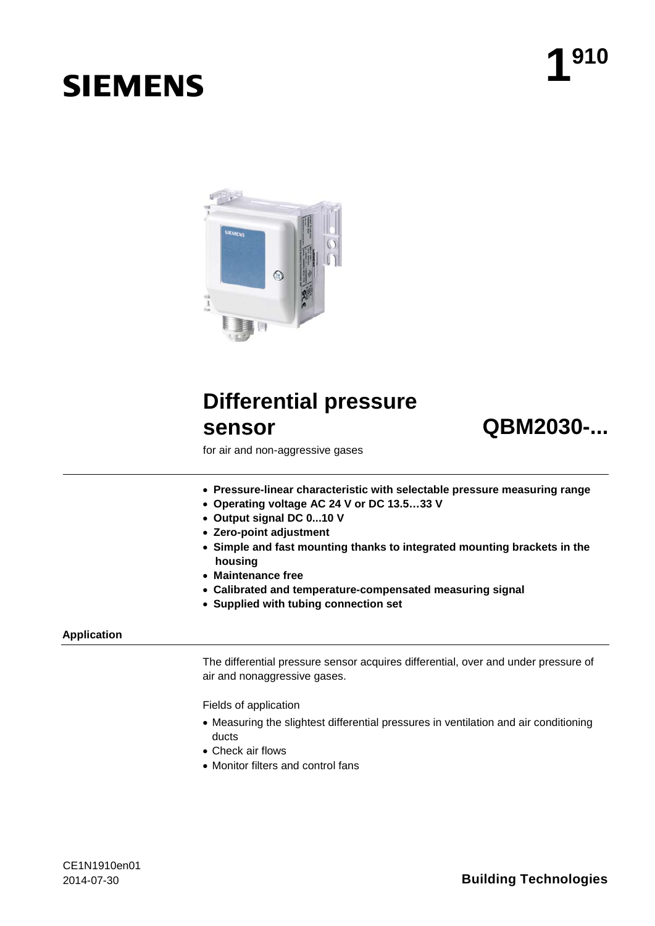# **SIEMENS**



## **Differential pressure sensor QBM2030-...**



for air and non-aggressive gases

- **Pressure-linear characteristic with selectable pressure measuring range**
- **Operating voltage AC 24 V or DC 13.5…33 V**
- **Output signal DC 0...10 V**
- **Zero-point adjustment**
- **Simple and fast mounting thanks to integrated mounting brackets in the housing**
- **Maintenance free**
- **Calibrated and temperature-compensated measuring signal**
- **Supplied with tubing connection set**

#### **Application**

The differential pressure sensor acquires differential, over and under pressure of air and nonaggressive gases.

Fields of application

- Measuring the slightest differential pressures in ventilation and air conditioning ducts
- Check air flows
- Monitor filters and control fans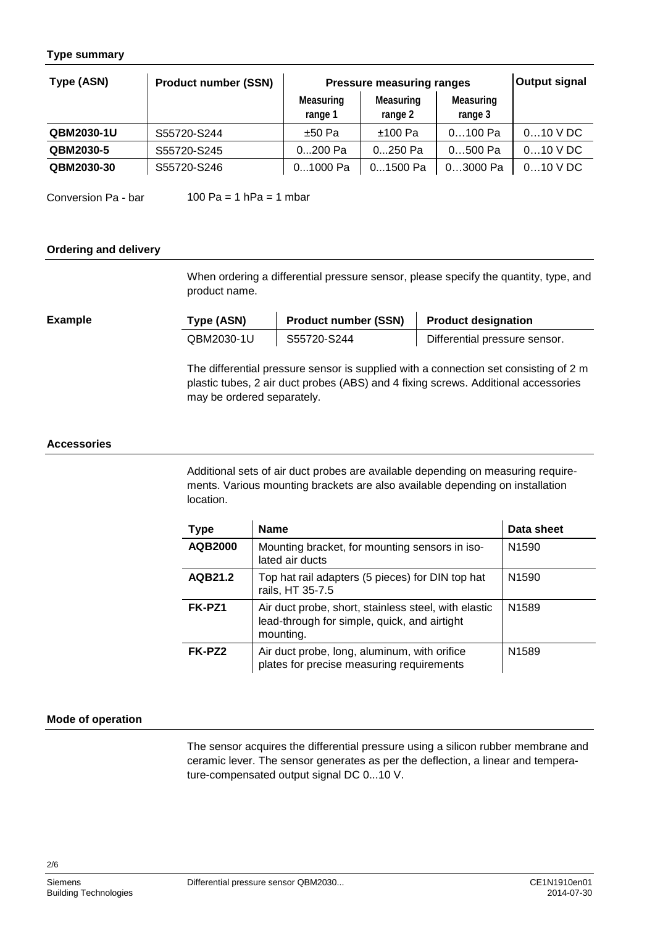#### **Type summary**

| Type (ASN) | <b>Product number (SSN)</b> | <b>Pressure measuring ranges</b> |                      |                      | <b>Output signal</b> |
|------------|-----------------------------|----------------------------------|----------------------|----------------------|----------------------|
|            |                             | Measuring<br>range 1             | Measuring<br>range 2 | Measuring<br>range 3 |                      |
| QBM2030-1U | S55720-S244                 | $±50$ Pa                         | $±100$ Pa            | $0100$ Pa            | $010$ V DC           |
| QBM2030-5  | S55720-S245                 | 0200 Pa                          | 0250 Pa              | $0500$ Pa            | $010$ V DC           |
| QBM2030-30 | S55720-S246                 | 01000 Pa                         | 01500 Pa             | 03000 Pa             | $010$ V DC           |

l.

100 Pa = 1  $h$ Pa = 1 mbar Conversion Pa - bar

#### **Ordering and delivery**

When ordering a differential pressure sensor, please specify the quantity, type, and product name.

| Type (ASN) | <b>Product number (SSN)</b> | <b>Product designation</b>    |
|------------|-----------------------------|-------------------------------|
| QBM2030-1U | S55720-S244                 | Differential pressure sensor. |

The differential pressure sensor is supplied with a connection set consisting of 2 m plastic tubes, 2 air duct probes (ABS) and 4 fixing screws. Additional accessories may be ordered separately.

#### **Accessories**

**Example**

Additional sets of air duct probes are available depending on measuring requirements. Various mounting brackets are also available depending on installation location.

| Type           | <b>Name</b>                                                                                                       | Data sheet        |
|----------------|-------------------------------------------------------------------------------------------------------------------|-------------------|
| <b>AQB2000</b> | Mounting bracket, for mounting sensors in iso-<br>lated air ducts                                                 | N <sub>1590</sub> |
| AQB21.2        | Top hat rail adapters (5 pieces) for DIN top hat<br>rails, HT 35-7.5                                              | N <sub>1590</sub> |
| FK-PZ1         | Air duct probe, short, stainless steel, with elastic<br>lead-through for simple, quick, and airtight<br>mounting. | N <sub>1589</sub> |
| FK-PZ2         | Air duct probe, long, aluminum, with orifice<br>plates for precise measuring requirements                         | N <sub>1589</sub> |

#### **Mode of operation**

The sensor acquires the differential pressure using a silicon rubber membrane and ceramic lever. The sensor generates as per the deflection, a linear and temperature-compensated output signal DC 0...10 V.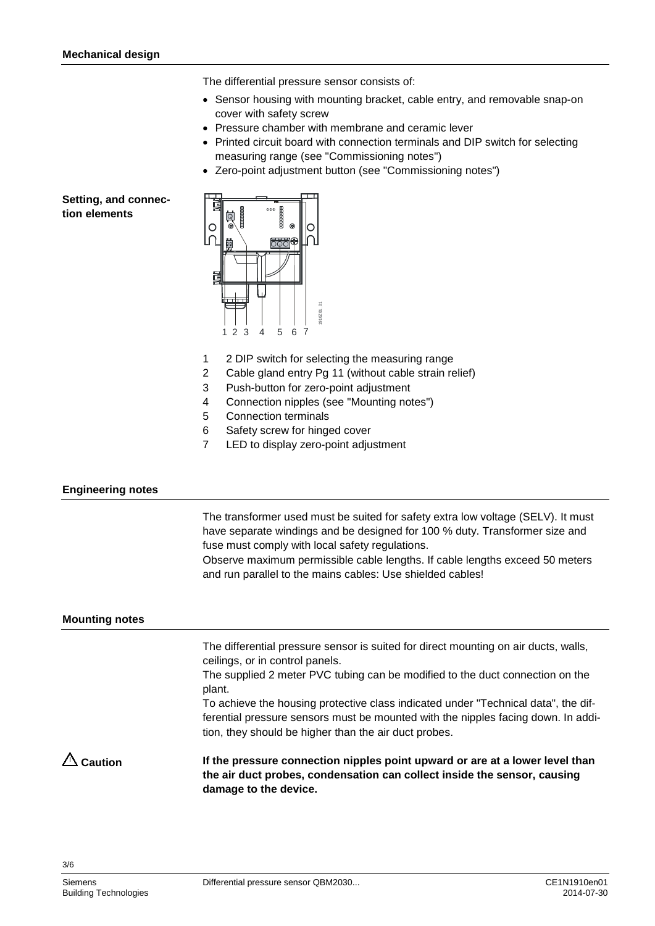The differential pressure sensor consists of:

- Sensor housing with mounting bracket, cable entry, and removable snap-on cover with safety screw
- Pressure chamber with membrane and ceramic lever
- Printed circuit board with connection terminals and DIP switch for selecting measuring range (see "Commissioning notes")
- Zero-point adjustment button (see "Commissioning notes")

#### <span id="page-2-0"></span>**Setting, and connection elements**



- 1 2 DIP switch for selecting the measuring range
- 2 Cable gland entry Pg 11 (without cable strain relief)
- 3 Push-button for zero-point adjustment
- 4 Connection nipples (see "Mounting notes")
- 5 Connection terminals
- 6 Safety screw for hinged cover
- 7 LED to display zero-point adjustment

#### **Engineering notes**

The transformer used must be suited for safety extra low voltage (SELV). It must have separate windings and be designed for 100 % duty. Transformer size and fuse must comply with local safety regulations.

Observe maximum permissible cable lengths. If cable lengths exceed 50 meters and run parallel to the mains cables: Use shielded cables!

#### **Mounting notes**

The differential pressure sensor is suited for direct mounting on air ducts, walls, ceilings, or in control panels.

The supplied 2 meter PVC tubing can be modified to the duct connection on the plant.

To achieve the housing protective class indicated under "Technical data", the differential pressure sensors must be mounted with the nipples facing down. In addition, they should be higher than the air duct probes.

**If the pressure connection nipples point upward or are at a lower level than the air duct probes, condensation can collect inside the sensor, causing damage to the device. Caution**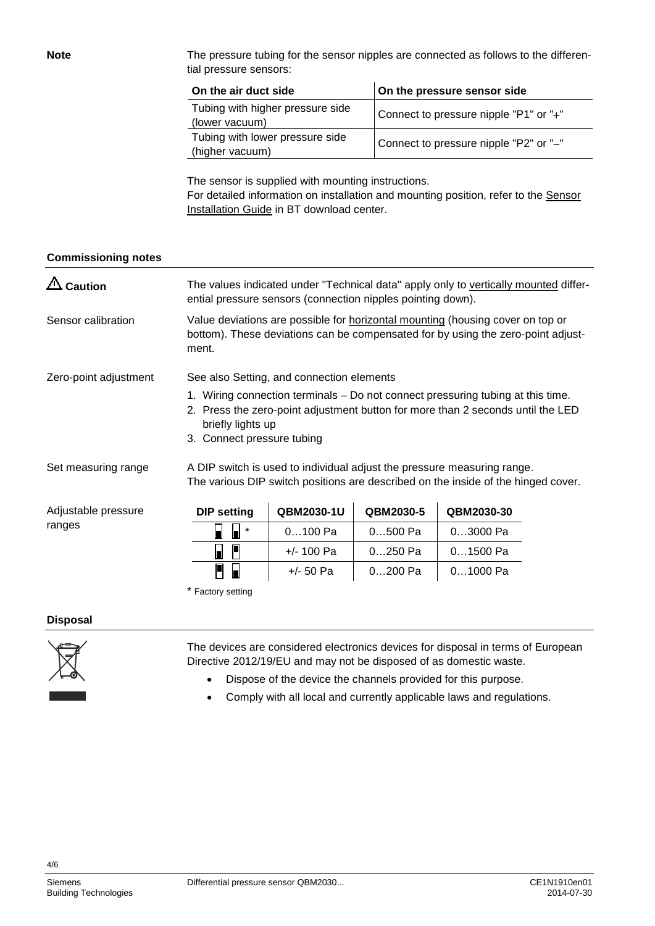The pressure tubing for the sensor nipples are connected as follows to the differential pressure sensors:

| On the air duct side                               | On the pressure sensor side            |  |  |
|----------------------------------------------------|----------------------------------------|--|--|
| Tubing with higher pressure side<br>(lower vacuum) | Connect to pressure nipple "P1" or "+" |  |  |
| Tubing with lower pressure side<br>(higher vacuum) | Connect to pressure nipple "P2" or "-" |  |  |

The sensor is supplied with mounting instructions. For detailed information on installation and mounting position, refer to the [Sensor](http://www.siemens.com/bt/file?soi=A6V10366334)  [Installation Guide](http://www.siemens.com/bt/file?soi=A6V10366334) in BT download center.

#### **Commissioning notes**

**Note**

| <b>Caution</b>        | The values indicated under "Technical data" apply only to vertically mounted differ-<br>ential pressure sensors (connection nipples pointing down).                                                                                                                |             |           |            |  |
|-----------------------|--------------------------------------------------------------------------------------------------------------------------------------------------------------------------------------------------------------------------------------------------------------------|-------------|-----------|------------|--|
| Sensor calibration    | Value deviations are possible for horizontal mounting (housing cover on top or<br>bottom). These deviations can be compensated for by using the zero-point adjust-<br>ment.                                                                                        |             |           |            |  |
| Zero-point adjustment | See also Setting, and connection elements<br>1. Wiring connection terminals – Do not connect pressuring tubing at this time.<br>2. Press the zero-point adjustment button for more than 2 seconds until the LED<br>briefly lights up<br>3. Connect pressure tubing |             |           |            |  |
| Set measuring range   | A DIP switch is used to individual adjust the pressure measuring range.<br>The various DIP switch positions are described on the inside of the hinged cover.                                                                                                       |             |           |            |  |
| Adjustable pressure   | <b>DIP setting</b>                                                                                                                                                                                                                                                 | QBM2030-1U  | QBM2030-5 | QBM2030-30 |  |
| ranges                | $\ast$<br>П                                                                                                                                                                                                                                                        | $0100$ Pa   | $0500$ Pa | 03000 Pa   |  |
|                       | F<br>П                                                                                                                                                                                                                                                             | +/- 100 Pa  | $0250$ Pa | $01500$ Pa |  |
|                       | Н                                                                                                                                                                                                                                                                  | $+/- 50$ Pa | 0200 Pa   | $01000$ Pa |  |
|                       | * Factory setting                                                                                                                                                                                                                                                  |             |           |            |  |

#### **Disposal**



The devices are considered electronics devices for disposal in terms of European Directive 2012/19/EU and may not be disposed of as domestic waste.

- Dispose of the device the channels provided for this purpose.
- Comply with all local and currently applicable laws and regulations.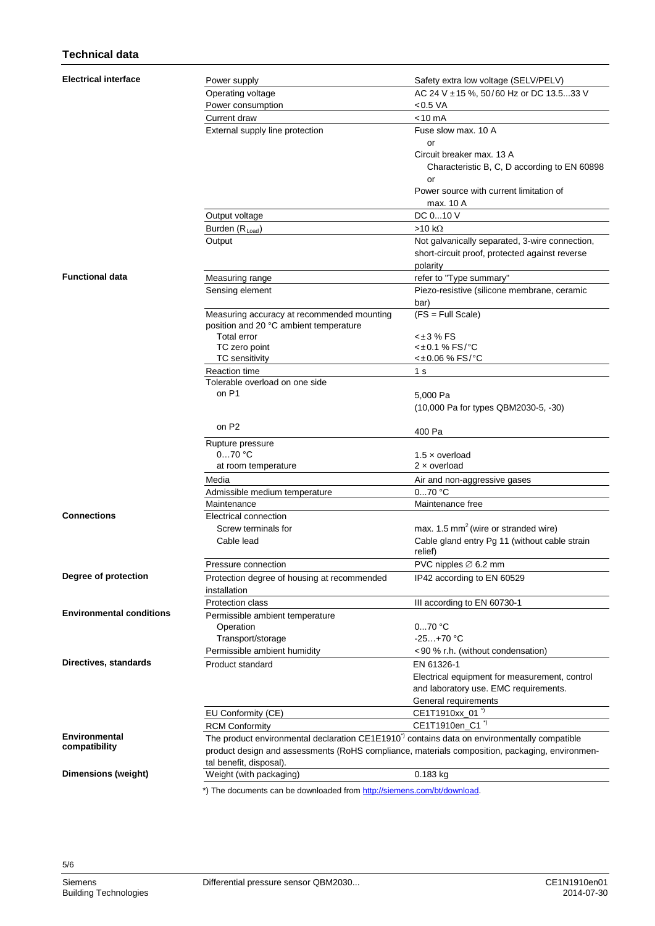### **Technical data**

| <b>Electrical interface</b>     | Power supply                                                                                            | Safety extra low voltage (SELV/PELV)                                                             |  |  |
|---------------------------------|---------------------------------------------------------------------------------------------------------|--------------------------------------------------------------------------------------------------|--|--|
|                                 | Operating voltage                                                                                       | AC 24 V ± 15 %, 50/60 Hz or DC 13.533 V                                                          |  |  |
|                                 | Power consumption                                                                                       | $<$ 0.5 VA                                                                                       |  |  |
|                                 | Current draw                                                                                            | $< 10$ mA                                                                                        |  |  |
|                                 | External supply line protection                                                                         | Fuse slow max, 10 A                                                                              |  |  |
|                                 |                                                                                                         | or                                                                                               |  |  |
|                                 |                                                                                                         | Circuit breaker max. 13 A                                                                        |  |  |
|                                 |                                                                                                         | Characteristic B, C, D according to EN 60898                                                     |  |  |
|                                 |                                                                                                         | or                                                                                               |  |  |
|                                 |                                                                                                         | Power source with current limitation of                                                          |  |  |
|                                 |                                                                                                         | max. 10 A                                                                                        |  |  |
|                                 | Output voltage                                                                                          | DC 010 V                                                                                         |  |  |
|                                 | Burden $(R_{Load})$                                                                                     | $>10 k\Omega$                                                                                    |  |  |
|                                 | Output                                                                                                  | Not galvanically separated, 3-wire connection,<br>short-circuit proof, protected against reverse |  |  |
|                                 |                                                                                                         | polarity                                                                                         |  |  |
| <b>Functional data</b>          | Measuring range                                                                                         | refer to "Type summary"                                                                          |  |  |
|                                 | Sensing element                                                                                         | Piezo-resistive (silicone membrane, ceramic                                                      |  |  |
|                                 |                                                                                                         | bar)                                                                                             |  |  |
|                                 | Measuring accuracy at recommended mounting                                                              | $(FS = Full Scale)$                                                                              |  |  |
|                                 | position and 20 °C ambient temperature                                                                  |                                                                                                  |  |  |
|                                 | Total error                                                                                             | $<$ ± 3 % FS                                                                                     |  |  |
|                                 | TC zero point                                                                                           | <±0.1 % FS/°C                                                                                    |  |  |
|                                 | TC sensitivity                                                                                          | $< \pm 0.06$ % FS/°C                                                                             |  |  |
|                                 | <b>Reaction time</b><br>Tolerable overload on one side                                                  | 1 s                                                                                              |  |  |
|                                 | on P1                                                                                                   | 5,000 Pa                                                                                         |  |  |
|                                 |                                                                                                         | (10,000 Pa for types QBM2030-5, -30)                                                             |  |  |
|                                 |                                                                                                         |                                                                                                  |  |  |
|                                 | on P <sub>2</sub>                                                                                       | 400 Pa                                                                                           |  |  |
|                                 | Rupture pressure                                                                                        |                                                                                                  |  |  |
|                                 | $070$ °C                                                                                                | 1.5 $\times$ overload                                                                            |  |  |
|                                 | at room temperature                                                                                     | $2 \times$ overload                                                                              |  |  |
|                                 | Media                                                                                                   | Air and non-aggressive gases                                                                     |  |  |
|                                 | Admissible medium temperature                                                                           | $070$ °C                                                                                         |  |  |
|                                 | Maintenance                                                                                             | Maintenance free                                                                                 |  |  |
| <b>Connections</b>              | Electrical connection                                                                                   |                                                                                                  |  |  |
|                                 | Screw terminals for                                                                                     | max. 1.5 mm <sup>2</sup> (wire or stranded wire)                                                 |  |  |
|                                 | Cable lead                                                                                              | Cable gland entry Pg 11 (without cable strain<br>relief)                                         |  |  |
|                                 | Pressure connection                                                                                     | PVC nipples ∅ 6.2 mm                                                                             |  |  |
| Degree of protection            |                                                                                                         | IP42 according to EN 60529                                                                       |  |  |
|                                 | Protection degree of housing at recommended<br>installation                                             |                                                                                                  |  |  |
|                                 | <b>Protection class</b>                                                                                 | III according to EN 60730-1                                                                      |  |  |
| <b>Environmental conditions</b> | Permissible ambient temperature                                                                         |                                                                                                  |  |  |
|                                 | Operation                                                                                               | 070 °C                                                                                           |  |  |
|                                 | Transport/storage                                                                                       | $-25+70 °C$                                                                                      |  |  |
|                                 | Permissible ambient humidity                                                                            | <90 % r.h. (without condensation)                                                                |  |  |
| Directives, standards           | Product standard                                                                                        | EN 61326-1                                                                                       |  |  |
|                                 |                                                                                                         | Electrical equipment for measurement, control                                                    |  |  |
|                                 |                                                                                                         | and laboratory use. EMC requirements.                                                            |  |  |
|                                 |                                                                                                         | General requirements                                                                             |  |  |
|                                 | EU Conformity (CE)                                                                                      | CE1T1910xx_01 <sup>"</sup>                                                                       |  |  |
|                                 | <b>RCM Conformity</b>                                                                                   | CE1T1910en_C1"                                                                                   |  |  |
| <b>Environmental</b>            | The product environmental declaration CE1E1910 <sup>*</sup> contains data on environmentally compatible |                                                                                                  |  |  |
| compatibility                   | product design and assessments (RoHS compliance, materials composition, packaging, environmen-          |                                                                                                  |  |  |
|                                 | tal benefit, disposal).<br>Weight (with packaging)                                                      |                                                                                                  |  |  |
| Dimensions (weight)             | $0.183$ kg                                                                                              |                                                                                                  |  |  |
|                                 | *) The documents can be downloaded from http://siemens.com/ht/download                                  |                                                                                                  |  |  |

he documents can be downloaded from <u>h</u>